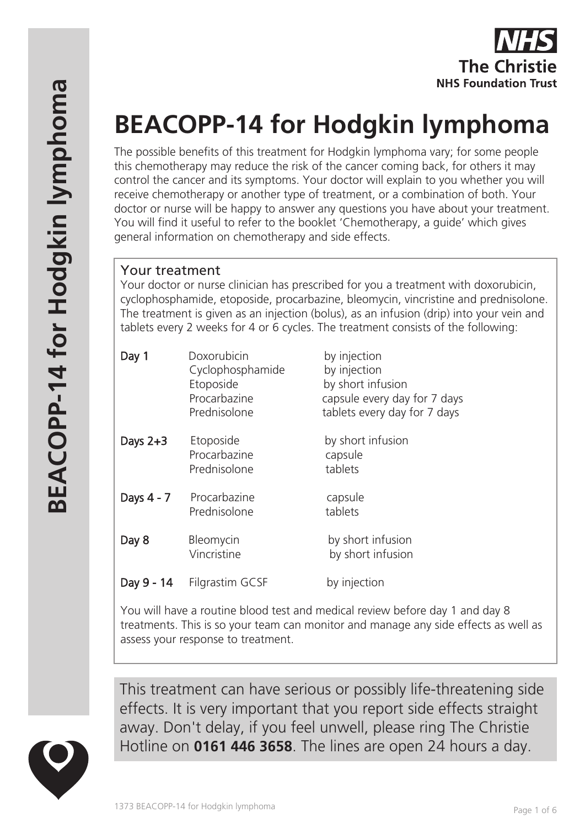

# **BEACOPP-14 for Hodgkin lymphoma**

The possible benefits of this treatment for Hodgkin lymphoma vary; for some people this chemotherapy may reduce the risk of the cancer coming back, for others it may control the cancer and its symptoms. Your doctor will explain to you whether you will receive chemotherapy or another type of treatment, or a combination of both. Your doctor or nurse will be happy to answer any questions you have about your treatment. You will find it useful to refer to the booklet 'Chemotherapy, a guide' which gives general information on chemotherapy and side effects.

## Your treatment

Your doctor or nurse clinician has prescribed for you a treatment with doxorubicin, cyclophosphamide, etoposide, procarbazine, bleomycin, vincristine and prednisolone. The treatment is given as an injection (bolus), as an infusion (drip) into your vein and tablets every 2 weeks for 4 or 6 cycles. The treatment consists of the following:

| Day 1         | Doxorubicin<br>Cyclophosphamide<br>Etoposide<br>Procarbazine<br>Prednisolone | by injection<br>by injection<br>by short infusion<br>capsule every day for 7 days<br>tablets every day for 7 days |
|---------------|------------------------------------------------------------------------------|-------------------------------------------------------------------------------------------------------------------|
| Days $2+3$    | Etoposide<br>Procarbazine<br>Prednisolone                                    | by short infusion<br>capsule<br>tablets                                                                           |
| Days 4 - 7    | Procarbazine<br>Prednisolone                                                 | capsule<br>tablets                                                                                                |
| Day 8         | Bleomycin<br>Vincristine                                                     | by short infusion<br>by short infusion                                                                            |
| - 14<br>Day 9 | Filgrastim GCSF                                                              | by injection                                                                                                      |

You will have a routine blood test and medical review before day 1 and day 8 treatments. This is so your team can monitor and manage any side effects as well as assess your response to treatment.

This treatment can have serious or possibly life-threatening side effects. It is very important that you report side effects straight away. Don't delay, if you feel unwell, please ring The Christie Hotline on **0161 446 3658**. The lines are open 24 hours a day.

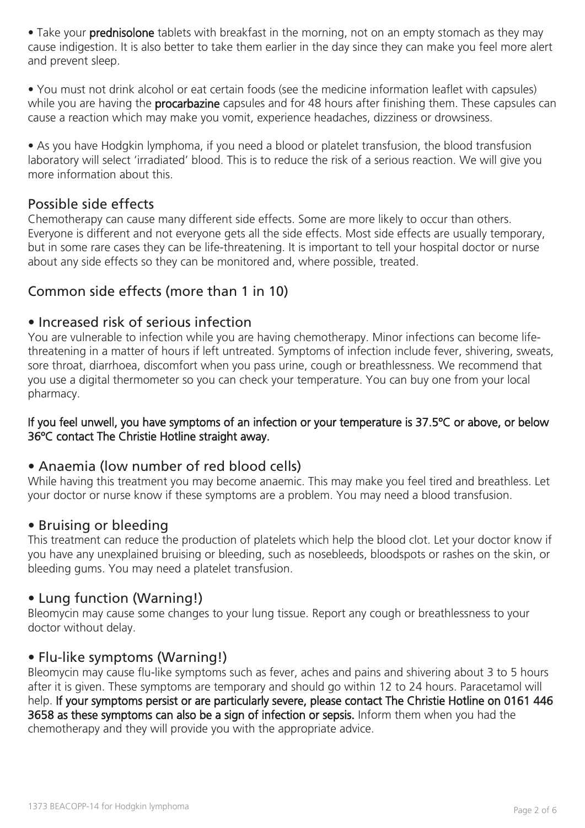• Take your **prednisolone** tablets with breakfast in the morning, not on an empty stomach as they may cause indigestion. It is also better to take them earlier in the day since they can make you feel more alert and prevent sleep.

• You must not drink alcohol or eat certain foods (see the medicine information leaflet with capsules) while you are having the **procarbazine** capsules and for 48 hours after finishing them. These capsules can cause a reaction which may make you vomit, experience headaches, dizziness or drowsiness.

• As you have Hodgkin lymphoma, if you need a blood or platelet transfusion, the blood transfusion laboratory will select 'irradiated' blood. This is to reduce the risk of a serious reaction. We will give you more information about this.

#### Possible side effects

Chemotherapy can cause many different side effects. Some are more likely to occur than others. Everyone is different and not everyone gets all the side effects. Most side effects are usually temporary, but in some rare cases they can be life-threatening. It is important to tell your hospital doctor or nurse about any side effects so they can be monitored and, where possible, treated.

# Common side effects (more than 1 in 10)

## • Increased risk of serious infection

You are vulnerable to infection while you are having chemotherapy. Minor infections can become lifethreatening in a matter of hours if left untreated. Symptoms of infection include fever, shivering, sweats, sore throat, diarrhoea, discomfort when you pass urine, cough or breathlessness. We recommend that you use a digital thermometer so you can check your temperature. You can buy one from your local pharmacy.

#### If you feel unwell, you have symptoms of an infection or your temperature is 37.5ºC or above, or below 36ºC contact The Christie Hotline straight away.

## • Anaemia (low number of red blood cells)

While having this treatment you may become anaemic. This may make you feel tired and breathless. Let your doctor or nurse know if these symptoms are a problem. You may need a blood transfusion.

#### • Bruising or bleeding

This treatment can reduce the production of platelets which help the blood clot. Let your doctor know if you have any unexplained bruising or bleeding, such as nosebleeds, bloodspots or rashes on the skin, or bleeding gums. You may need a platelet transfusion.

## • Lung function (Warning!)

Bleomycin may cause some changes to your lung tissue. Report any cough or breathlessness to your doctor without delay.

#### • Flu-like symptoms (Warning!)

Bleomycin may cause flu-like symptoms such as fever, aches and pains and shivering about 3 to 5 hours after it is given. These symptoms are temporary and should go within 12 to 24 hours. Paracetamol will help. If your symptoms persist or are particularly severe, please contact The Christie Hotline on 0161 446 3658 as these symptoms can also be a sign of infection or sepsis. Inform them when you had the chemotherapy and they will provide you with the appropriate advice.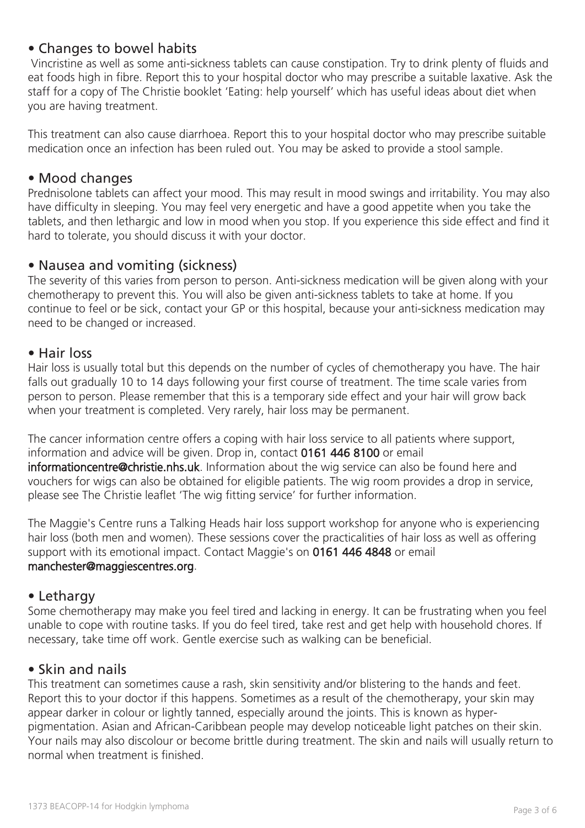# • Changes to bowel habits

 Vincristine as well as some anti-sickness tablets can cause constipation. Try to drink plenty of fluids and eat foods high in fibre. Report this to your hospital doctor who may prescribe a suitable laxative. Ask the staff for a copy of The Christie booklet 'Eating: help yourself' which has useful ideas about diet when you are having treatment.

This treatment can also cause diarrhoea. Report this to your hospital doctor who may prescribe suitable medication once an infection has been ruled out. You may be asked to provide a stool sample.

#### • Mood changes

Prednisolone tablets can affect your mood. This may result in mood swings and irritability. You may also have difficulty in sleeping. You may feel very energetic and have a good appetite when you take the tablets, and then lethargic and low in mood when you stop. If you experience this side effect and find it hard to tolerate, you should discuss it with your doctor.

#### • Nausea and vomiting (sickness)

The severity of this varies from person to person. Anti-sickness medication will be given along with your chemotherapy to prevent this. You will also be given anti-sickness tablets to take at home. If you continue to feel or be sick, contact your GP or this hospital, because your anti-sickness medication may need to be changed or increased.

#### • Hair loss

Hair loss is usually total but this depends on the number of cycles of chemotherapy you have. The hair falls out gradually 10 to 14 days following your first course of treatment. The time scale varies from person to person. Please remember that this is a temporary side effect and your hair will grow back when your treatment is completed. Very rarely, hair loss may be permanent.

The cancer information centre offers a coping with hair loss service to all patients where support, information and advice will be given. Drop in, contact 0161 446 8100 or email informationcentre@christie.nhs.uk. Information about the wig service can also be found here and vouchers for wigs can also be obtained for eligible patients. The wig room provides a drop in service, please see The Christie leaflet 'The wig fitting service' for further information.

The Maggie's Centre runs a Talking Heads hair loss support workshop for anyone who is experiencing hair loss (both men and women). These sessions cover the practicalities of hair loss as well as offering support with its emotional impact. Contact Maggie's on 0161 446 4848 or email manchester@maggiescentres.org.

#### • Lethargy

Some chemotherapy may make you feel tired and lacking in energy. It can be frustrating when you feel unable to cope with routine tasks. If you do feel tired, take rest and get help with household chores. If necessary, take time off work. Gentle exercise such as walking can be beneficial.

## • Skin and nails

This treatment can sometimes cause a rash, skin sensitivity and/or blistering to the hands and feet. Report this to your doctor if this happens. Sometimes as a result of the chemotherapy, your skin may appear darker in colour or lightly tanned, especially around the joints. This is known as hyperpigmentation. Asian and African-Caribbean people may develop noticeable light patches on their skin. Your nails may also discolour or become brittle during treatment. The skin and nails will usually return to normal when treatment is finished.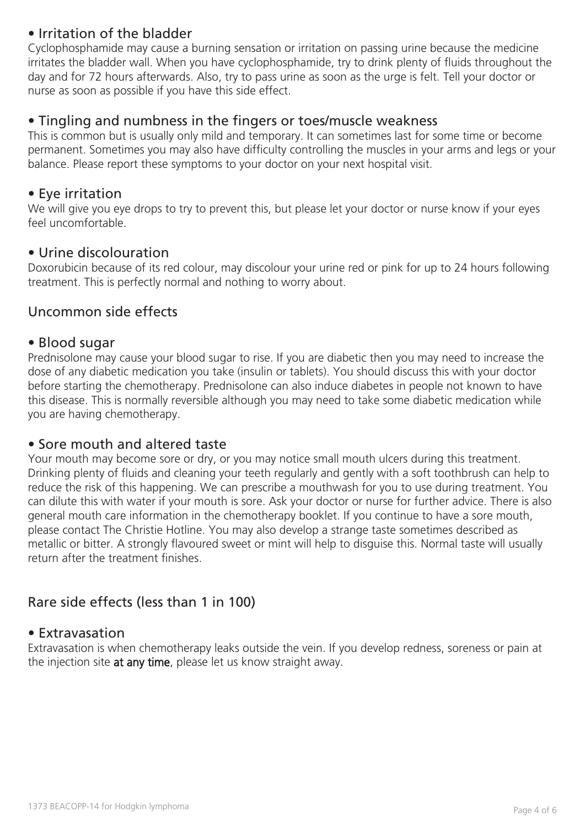# • Irritation of the bladder

Cyclophosphamide may cause a burning sensation or irritation on passing urine because the medicine irritates the bladder wall. When you have cyclophosphamide, try to drink plenty of fluids throughout the day and for 72 hours afterwards. Also, try to pass urine as soon as the urge is felt. Tell your doctor or nurse as soon as possible if you have this side effect.

#### • Tingling and numbness in the fingers or toes/muscle weakness

This is common but is usually only mild and temporary. It can sometimes last for some time or become permanent. Sometimes you may also have difficulty controlling the muscles in your arms and legs or your balance. Please report these symptoms to your doctor on your next hospital visit.

#### • Eye irritation

We will give you eye drops to try to prevent this, but please let your doctor or nurse know if your eyes feel uncomfortable.

#### • Urine discolouration

Doxorubicin because of its red colour, may discolour your urine red or pink for up to 24 hours following treatment. This is perfectly normal and nothing to worry about.

#### Uncommon side effects

#### • Blood sugar

Prednisolone may cause your blood sugar to rise. If you are diabetic then you may need to increase the dose of any diabetic medication you take (insulin or tablets). You should discuss this with your doctor before starting the chemotherapy. Prednisolone can also induce diabetes in people not known to have this disease. This is normally reversible although you may need to take some diabetic medication while you are having chemotherapy.

#### • Sore mouth and altered taste

Your mouth may become sore or dry, or you may notice small mouth ulcers during this treatment. Drinking plenty of fluids and cleaning your teeth regularly and gently with a soft toothbrush can help to reduce the risk of this happening. We can prescribe a mouthwash for you to use during treatment. You can dilute this with water if your mouth is sore. Ask your doctor or nurse for further advice. There is also general mouth care information in the chemotherapy booklet. If you continue to have a sore mouth, please contact The Christie Hotline. You may also develop a strange taste sometimes described as metallic or bitter. A strongly flavoured sweet or mint will help to disguise this. Normal taste will usually return after the treatment finishes.

# Rare side effects (less than 1 in 100)

#### • Extravasation

Extravasation is when chemotherapy leaks outside the vein. If you develop redness, soreness or pain at the injection site at any time, please let us know straight away.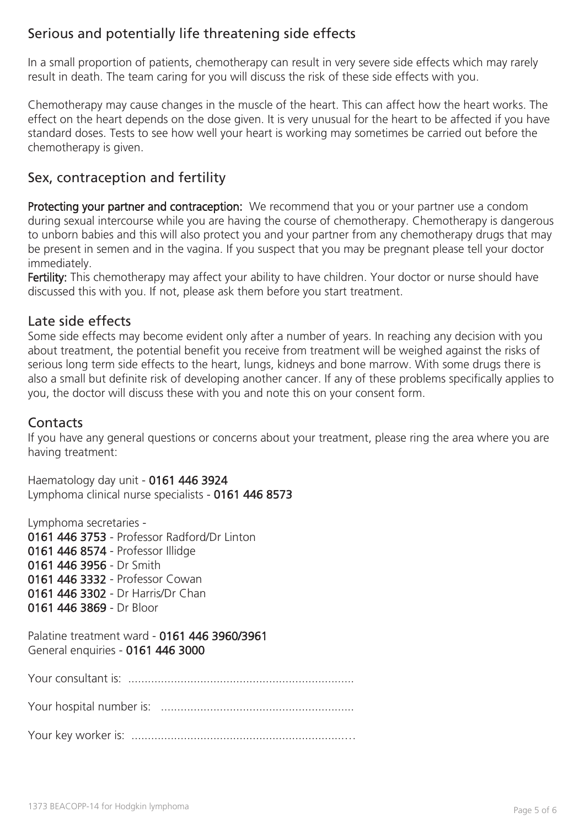# Serious and potentially life threatening side effects

In a small proportion of patients, chemotherapy can result in very severe side effects which may rarely result in death. The team caring for you will discuss the risk of these side effects with you.

Chemotherapy may cause changes in the muscle of the heart. This can affect how the heart works. The effect on the heart depends on the dose given. It is very unusual for the heart to be affected if you have standard doses. Tests to see how well your heart is working may sometimes be carried out before the chemotherapy is given.

# Sex, contraception and fertility

Protecting your partner and contraception: We recommend that you or your partner use a condom during sexual intercourse while you are having the course of chemotherapy. Chemotherapy is dangerous to unborn babies and this will also protect you and your partner from any chemotherapy drugs that may be present in semen and in the vagina. If you suspect that you may be pregnant please tell your doctor immediately.

Fertility: This chemotherapy may affect your ability to have children. Your doctor or nurse should have discussed this with you. If not, please ask them before you start treatment.

## Late side effects

Some side effects may become evident only after a number of years. In reaching any decision with you about treatment, the potential benefit you receive from treatment will be weighed against the risks of serious long term side effects to the heart, lungs, kidneys and bone marrow. With some drugs there is also a small but definite risk of developing another cancer. If any of these problems specifically applies to you, the doctor will discuss these with you and note this on your consent form.

## **Contacts**

If you have any general questions or concerns about your treatment, please ring the area where you are having treatment:

Haematology day unit - 0161 446 3924 Lymphoma clinical nurse specialists - 0161 446 8573

Lymphoma secretaries - 0161 446 3753 - Professor Radford/Dr Linton 0161 446 8574 - Professor Illidge 0161 446 3956 - Dr Smith 0161 446 3332 - Professor Cowan 0161 446 3302 - Dr Harris/Dr Chan 0161 446 3869 - Dr Bloor

Palatine treatment ward - 0161 446 3960/3961 General enquiries - 0161 446 3000

Your consultant is: .....................................................................

Your hospital number is: ...........................................................

Your key worker is: .................................................................…